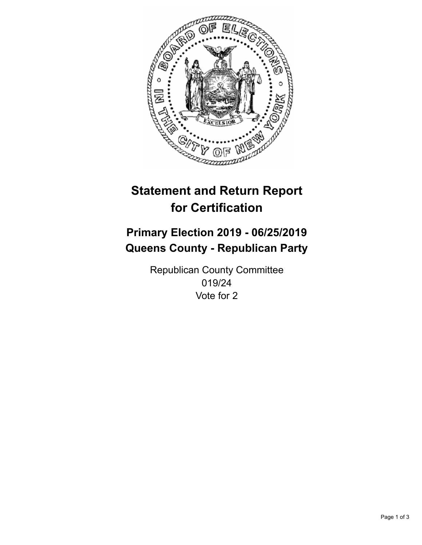

## **Statement and Return Report for Certification**

## **Primary Election 2019 - 06/25/2019 Queens County - Republican Party**

Republican County Committee 019/24 Vote for 2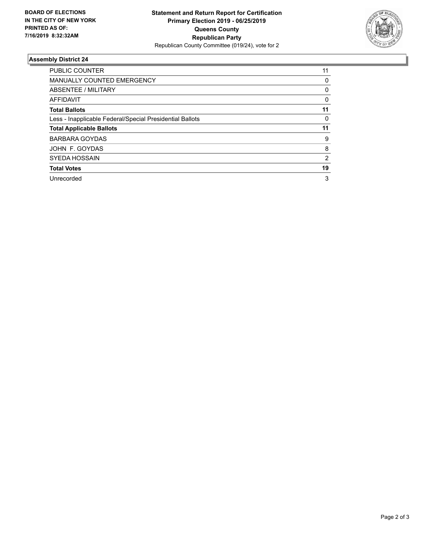

## **Assembly District 24**

| <b>PUBLIC COUNTER</b>                                    | 11             |
|----------------------------------------------------------|----------------|
| <b>MANUALLY COUNTED EMERGENCY</b>                        | 0              |
| ABSENTEE / MILITARY                                      | 0              |
| AFFIDAVIT                                                | 0              |
| <b>Total Ballots</b>                                     | 11             |
| Less - Inapplicable Federal/Special Presidential Ballots | 0              |
| <b>Total Applicable Ballots</b>                          | 11             |
| <b>BARBARA GOYDAS</b>                                    | 9              |
| JOHN F. GOYDAS                                           | 8              |
| <b>SYEDA HOSSAIN</b>                                     | $\overline{2}$ |
| <b>Total Votes</b>                                       | 19             |
| Unrecorded                                               | 3              |